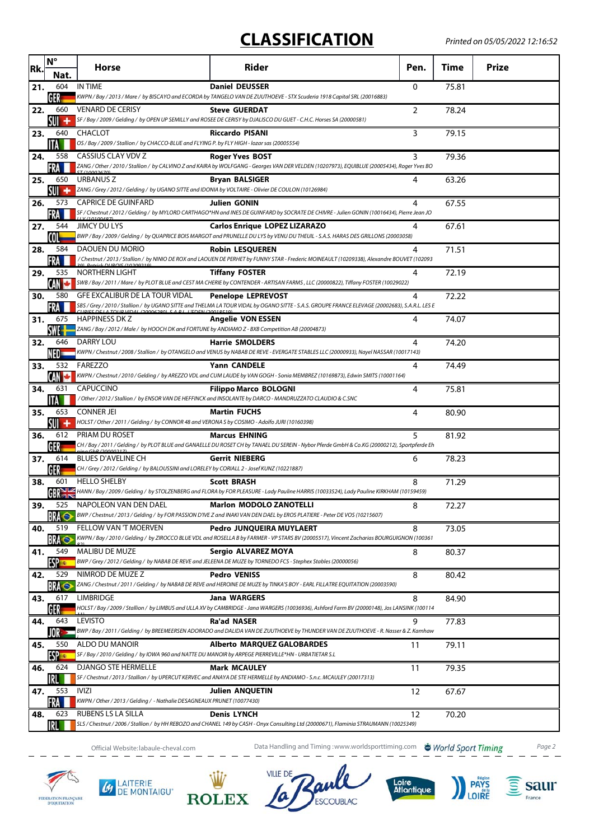## **CLASSIFICATION**

| Rk. | $\mathsf{N}^\circ$<br>Nat. | <b>Horse</b>                                                                                                             | Rider                                                                                                                                                                     | Pen.           | Time  | Prize |
|-----|----------------------------|--------------------------------------------------------------------------------------------------------------------------|---------------------------------------------------------------------------------------------------------------------------------------------------------------------------|----------------|-------|-------|
| 21. | 604                        | <b>IN TIME</b>                                                                                                           | <b>Daniel DEUSSER</b>                                                                                                                                                     | $\Omega$       | 75.81 |       |
| 22. | GER<br>660                 | <b>VENARD DE CERISY</b>                                                                                                  | KWPN / Bay / 2013 / Mare / by BISCAYO and ECORDA by TANGELO VAN DE ZUUTHOEVE - STX Scuderia 1918 Capital SRL (20016883)<br><b>Steve GUERDAT</b>                           | $\overline{2}$ | 78.24 |       |
|     | SUI<br>۰                   |                                                                                                                          | SF / Bay / 2009 / Gelding / by OPEN UP SEMILLY and ROSEE DE CERISY by DJALISCO DU GUET - C.H.C. Horses SA (20000581)                                                      |                |       |       |
| 23. | 640                        | CHACLOT                                                                                                                  | <b>Riccardo PISANI</b>                                                                                                                                                    | 3              | 79.15 |       |
| 24. | ITA<br>558                 | OS / Bay / 2009 / Stallion / by CHACCO-BLUE and FLYING P. by FLY HIGH - lozar sas (20005554)<br>CASSIUS CLAY VDV Z       | <b>Roger Yves BOST</b>                                                                                                                                                    | 3              | 79.36 |       |
|     | FRA                        |                                                                                                                          | ZANG / Other / 2010 / Stallion / by CALVINO Z and KAIRA by WOLFGANG - Georges VAN DER VELDEN (10207973), EQUIBLUE (20005434), Roger Yves BO                               |                |       |       |
| 25. | 650<br>۰<br>SUI'           | URBANUS Z<br>ZANG / Grey / 2012 / Gelding / by UGANO SITTE and IDONIA by VOLTAIRE - Olivier DE COULON (10126984)         | <b>Bryan BALSIGER</b>                                                                                                                                                     | 4              | 63.26 |       |
| 26. | 573                        | <b>CAPRICE DE GUINFARD</b>                                                                                               | Julien GONIN                                                                                                                                                              | 4              | 67.55 |       |
|     |                            |                                                                                                                          | SF / Chestnut / 2012 / Gelding / by MYLORD CARTHAGO*HN and INES DE GUINFARD by SOCRATE DE CHIVRE - Julien GONIN (10016434), Pierre Jean JO                                |                |       |       |
| 27. | 544<br>COL                 | JIMCY DU LYS                                                                                                             | <b>Carlos Enrique LOPEZ LIZARAZO</b><br>BWP / Bay / 2009 / Gelding / by QUAPRICE BOIS MARGOT and PRUNELLE DU LYS by VENU DU THEUIL - S.A.S. HARAS DES GRILLONS (20003058) | 4              | 67.61 |       |
| 28. | 584                        | DAOUEN DU MORIO                                                                                                          | <b>Robin LESQUEREN</b>                                                                                                                                                    | 4              | 71.51 |       |
|     | FRA                        |                                                                                                                          | / Chestnut / 2013 / Stallion / by NINIO DE ROX and LAOUEN DE PERHET by FUNNY STAR - Frederic MOINEAULT (10209338), Alexandre BOUVET (102093                               |                |       |       |
| 29. | 535<br>CAN                 | NORTHERN LIGHT                                                                                                           | <b>Tiffany FOSTER</b><br>SWB / Bay / 2011 / Mare / by PLOT BLUE and CEST MA CHERIE by CONTENDER - ARTISAN FARMS, LLC (20000822), Tiffany FOSTER (10029022)                | 4              | 72.19 |       |
| 30. | 580                        | GFE EXCALIBUR DE LA TOUR VIDAL                                                                                           | <b>Penelope LEPREVOST</b>                                                                                                                                                 | 4              | 72.22 |       |
|     |                            |                                                                                                                          | SBS / Grey / 2010 / Stallion / by UGANO SITTE and THELMA LA TOUR VIDAL by OGANO SITTE - S.A.S. GROUPE FRANCE ELEVAGE (20002683), S.A.R.L. LES E                           |                |       |       |
| 31. | 675                        | <b>HAPPINESS DK Z</b><br>ZANG / Bay / 2012 / Male / by HOOCH DK and FORTUNE by ANDIAMO Z - BXB Competition AB (20004873) | <b>Angelie VON ESSEN</b>                                                                                                                                                  | 4              | 74.07 |       |
| 32. | 646                        | <b>DARRY LOU</b>                                                                                                         | <b>Harrie SMOLDERS</b>                                                                                                                                                    | 4              | 74.20 |       |
| 33. | H) –<br>532                | FAREZZO                                                                                                                  | KWPN / Chestnut / 2008 / Stallion / by OTANGELO and VENUS by NABAB DE REVE - EVERGATE STABLES LLC (20000933), Nayel NASSAR (10017143)<br><b>Yann CANDELE</b>              | 4              | 74.49 |       |
|     |                            |                                                                                                                          | KWPN / Chestnut / 2010 / Gelding / by AREZZO VDL and CUM LAUDE by VAN GOGH - Sonia MEMBREZ (10169873), Edwin SMITS (10001164)                                             |                |       |       |
| 34. | 631                        | CAPUCCINO                                                                                                                | <b>Filippo Marco BOLOGNI</b><br>/ Other / 2012 / Stallion / by ENSOR VAN DE HEFFINCK and INSOLANTE by DARCO - MANDRUZZATO CLAUDIO & C.SNC                                 | 4              | 75.81 |       |
| 35. | 653                        | <b>CONNER JEI</b>                                                                                                        | <b>Martin FUCHS</b>                                                                                                                                                       | 4              | 80.90 |       |
|     | su +                       | HOLST / Other / 2011 / Gelding / by CONNOR 48 and VERONA S by COSIMO - Adolfo JURI (10160398)                            |                                                                                                                                                                           |                |       |       |
| 36. | 612<br>GER                 | <b>PRIAM DU ROSET</b>                                                                                                    | <b>Marcus EHNING</b><br>CH / Bay / 2011 / Gelding / by PLOT BLUE and GANAELLE DU ROSET CH by TANAEL DU SEREIN - Nybor Pferde GmbH & Co.KG (20000212), Sportpferde Eh      | 5              | 81.92 |       |
| 37. | 614                        | <b>BLUES D'AVELINE CH</b>                                                                                                | <b>Gerrit NIEBERG</b>                                                                                                                                                     | 6              | 78.23 |       |
|     | GER                        | CH / Grey / 2012 / Gelding / by BALOUSSINI and LORELEY by CORIALL 2 - Josef KUNZ (10221887)                              |                                                                                                                                                                           |                |       |       |
| 38. | 601<br>GR <sub>1</sub>     | <b>HELLO SHELBY</b>                                                                                                      | <b>Scott BRASH</b><br>HANN / Bay / 2009 / Gelding / by STOLZENBERG and FLORA by FOR PLEASURE - Lady Pauline HARRIS (10033524), Lady Pauline KIRKHAM (10159459)            | 8              | 71.29 |       |
| 39. | 525                        | NAPOLEON VAN DEN DAEL                                                                                                    | <b>Marlon MODOLO ZANOTELLI</b>                                                                                                                                            | 8              | 72.27 |       |
| 40. | RRA Ó<br>519               | <b>FELLOW VAN 'T MOERVEN</b>                                                                                             | BWP / Chestnut / 2013 / Gelding / by FOR PASSION D'IVE Z and INAKI VAN DEN DAEL by EROS PLATIERE - Peter DE VOS (10215607)<br><b>Pedro JUNQUEIRA MUYLAERT</b>             | 8              | 73.05 |       |
|     | <b>BRA</b>                 |                                                                                                                          | KWPN / Bay / 2010 / Gelding / by ZIROCCO BLUE VDL and ROSELLA B by FARMER - VP STARS BV (20005517), Vincent Zacharias BOURGUIGNON (100361                                 |                |       |       |
| 41. | 549<br><b>ESP</b>          | <b>MALIBU DE MUZE</b>                                                                                                    | Sergio ALVAREZ MOYA<br>BWP / Grey / 2012 / Gelding / by NABAB DE REVE and JELEENA DE MUZE by TORNEDO FCS - Stephex Stables (20000056)                                     | 8              | 80.37 |       |
| 42. | 529                        | NIMROD DE MUZE Z                                                                                                         | <b>Pedro VENISS</b>                                                                                                                                                       | 8              | 80.42 |       |
|     | <b>BRA</b>                 |                                                                                                                          | ZANG / Chestnut / 2011 / Gelding / by NABAB DE REVE and HEROINE DE MUZE by TINKA'S BOY - EARL FILLATRE EQUITATION (20003590)                                              |                |       |       |
| 43. | 617                        | LIMBRIDGE                                                                                                                | <b>Jana WARGERS</b><br>HOLST / Bay / 2009 / Stallion / by LIMBUS and ULLA XV by CAMBRIDGE - Jana WARGERS (10036936), Ashford Farm BV (20000148), Jos LANSINK (100114      | 8              | 84.90 |       |
| 44. | 643                        | LEVISTO                                                                                                                  | <b>Ra'ad NASER</b>                                                                                                                                                        | 9              | 77.83 |       |
|     |                            |                                                                                                                          | BWP / Bay / 2011 / Gelding / by BREEMEERSEN ADORADO and DALIDA VAN DE ZUUTHOEVE by THUNDER VAN DE ZUUTHOEVE - R. Nasser & Z. Kamhaw                                       |                |       |       |
| 45. | 550<br><b>ESP</b>          | ALDO DU MANOIR<br>SF / Bay / 2010 / Gelding / by IOWA 960 and NATTE DU MANOIR by ARPEGE PIERREVILLE*HN - URBATIETAR S.L  | <b>Alberto MARQUEZ GALOBARDES</b>                                                                                                                                         | 11             | 79.11 |       |
| 46. | 624                        | <b>DJANGO STE HERMELLE</b>                                                                                               | <b>Mark MCAULEY</b>                                                                                                                                                       | 11             | 79.35 |       |
|     | 553                        | <b>IVIZI</b>                                                                                                             | SF / Chestnut / 2013 / Stallion / by UPERCUT KERVEC and ANAYA DE STE HERMELLE by ANDIAMO - S.n.c. MCAULEY (20017313)                                                      |                |       |       |
| 47. | FRA                        | KWPN / Other / 2013 / Gelding / - Nathalie DESAGNEAUX PRUNET (10077430)                                                  | <b>Julien ANQUETIN</b>                                                                                                                                                    | 12             | 67.67 |       |
| 48. | 623                        | RUBENS LS LA SILLA                                                                                                       | <b>Denis LYNCH</b><br>SLS / Chestnut / 2006 / Stallion / by HH REBOZO and CHANEL 149 by CASH - Onyx Consulting Ltd (20000671), Flaminia STRAUMANN (10025349)              | 12             | 70.20 |       |
|     | IRL                        |                                                                                                                          |                                                                                                                                                                           |                |       |       |

**4** LAITERIE

Official Website: labaule-cheval.com **Data Handling and Timing :**www.worldsporttiming.com **& World Sport Timing** Page 2

**ESCOUBLAC** 

Loire<br>Atlantique

**VILLE DE** 

**ROLEX** 

 $\widehat{\mathbf{S}}$  saur

France

**PAYS**<br>LOIRE